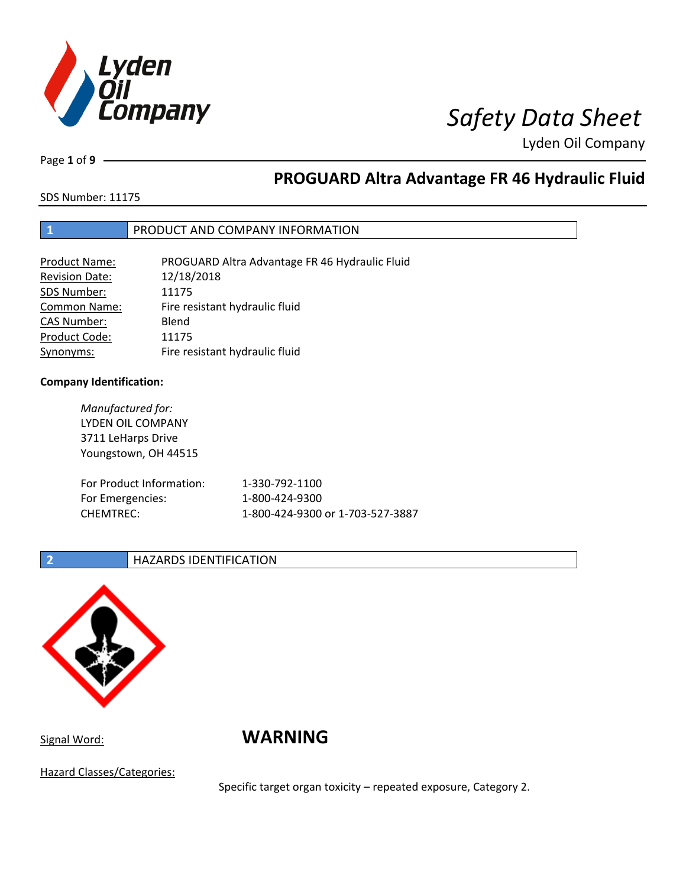

Page **1** of **9**

# **PROGUARD Altra Advantage FR 46 Hydraulic Fluid**

SDS Number: 11175

### **1** PRODUCT AND COMPANY INFORMATION

| Product Name:         | PROGUARD Altra Advantage FR 46 Hydraulic Fluid |
|-----------------------|------------------------------------------------|
| <b>Revision Date:</b> | 12/18/2018                                     |
| SDS Number:           | 11175                                          |
| <b>Common Name:</b>   | Fire resistant hydraulic fluid                 |
| <b>CAS Number:</b>    | Blend                                          |
| Product Code:         | 11175                                          |
| Synonyms:             | Fire resistant hydraulic fluid                 |

#### **Company Identification:**

*Manufactured for:* LYDEN OIL COMPANY 3711 LeHarps Drive Youngstown, OH 44515 For Product Information: 1-330-792-1100 For Emergencies: 1-800-424-9300 CHEMTREC: 1-800-424-9300 or 1-703-527-3887

### **2 HAZARDS IDENTIFICATION**



Signal Word: **WARNING**

Hazard Classes/Categories:

Specific target organ toxicity – repeated exposure, Category 2.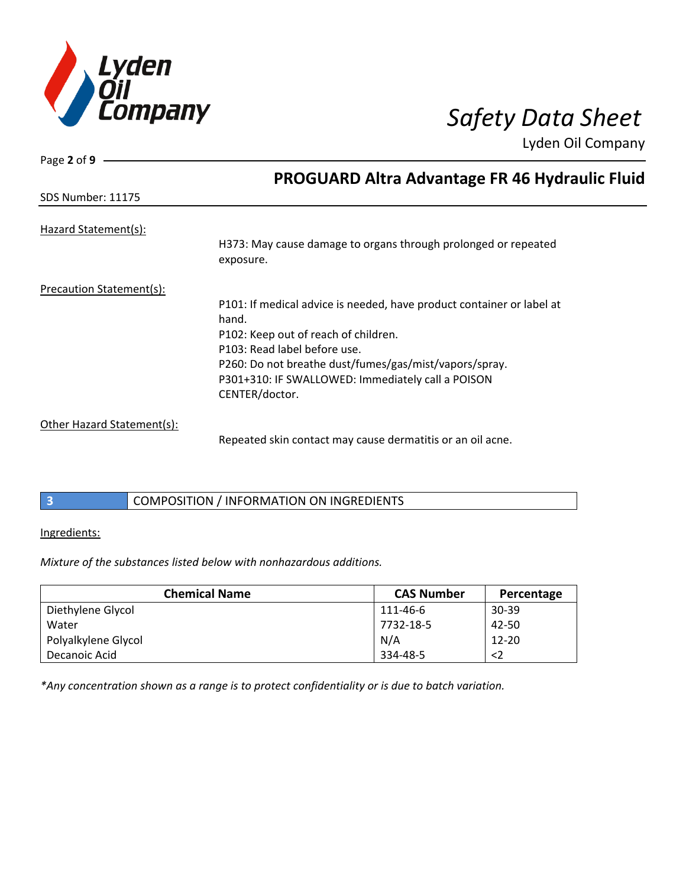

Page **2** of **9**

Lyden Oil Company

|                            | <b>PROGUARD Altra Advantage FR 46 Hydraulic Fluid</b>                       |
|----------------------------|-----------------------------------------------------------------------------|
| <b>SDS Number: 11175</b>   |                                                                             |
| Hazard Statement(s):       |                                                                             |
|                            | H373: May cause damage to organs through prolonged or repeated<br>exposure. |
| Precaution Statement(s):   |                                                                             |
|                            | P101: If medical advice is needed, have product container or label at       |
|                            | hand.                                                                       |
|                            | P102: Keep out of reach of children.                                        |
|                            | P103: Read label before use.                                                |
|                            | P260: Do not breathe dust/fumes/gas/mist/vapors/spray.                      |
|                            | P301+310: IF SWALLOWED: Immediately call a POISON                           |
|                            | CENTER/doctor.                                                              |
| Other Hazard Statement(s): |                                                                             |
|                            | Repeated skin contact may cause dermatitis or an oil acne.                  |

### **3** COMPOSITION / INFORMATION ON INGREDIENTS

#### Ingredients:

*Mixture of the substances listed below with nonhazardous additions.*

| <b>Chemical Name</b> | <b>CAS Number</b> | Percentage  |
|----------------------|-------------------|-------------|
| Diethylene Glycol    | 111-46-6          | 30-39       |
| Water                | 7732-18-5         | 42-50       |
| Polyalkylene Glycol  | N/A               | $12 - 20$   |
| Decanoic Acid        | 334-48-5          | $\langle$ 2 |

*\*Any concentration shown as a range is to protect confidentiality or is due to batch variation.*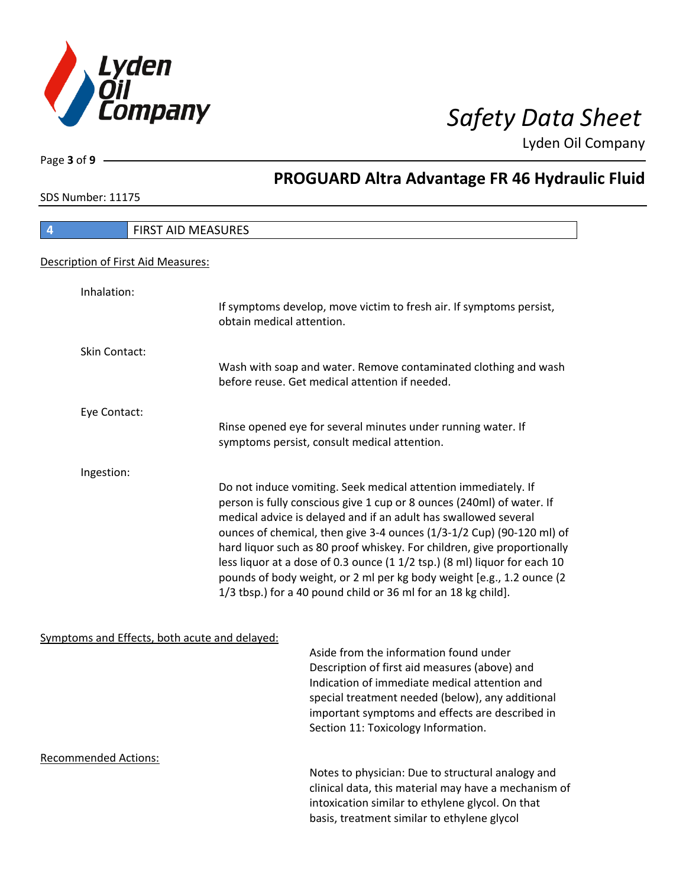

Page **3** of **9**

## **PROGUARD Altra Advantage FR 46 Hydraulic Fluid**

SDS Number: 11175

| <b>FIRST AID MEASURES</b>                                                                                                                                                                                                                                                                                                                                                                                                                                                                                                                                                             |
|---------------------------------------------------------------------------------------------------------------------------------------------------------------------------------------------------------------------------------------------------------------------------------------------------------------------------------------------------------------------------------------------------------------------------------------------------------------------------------------------------------------------------------------------------------------------------------------|
|                                                                                                                                                                                                                                                                                                                                                                                                                                                                                                                                                                                       |
|                                                                                                                                                                                                                                                                                                                                                                                                                                                                                                                                                                                       |
| If symptoms develop, move victim to fresh air. If symptoms persist,<br>obtain medical attention.                                                                                                                                                                                                                                                                                                                                                                                                                                                                                      |
|                                                                                                                                                                                                                                                                                                                                                                                                                                                                                                                                                                                       |
| Wash with soap and water. Remove contaminated clothing and wash<br>before reuse. Get medical attention if needed.                                                                                                                                                                                                                                                                                                                                                                                                                                                                     |
|                                                                                                                                                                                                                                                                                                                                                                                                                                                                                                                                                                                       |
| Rinse opened eye for several minutes under running water. If<br>symptoms persist, consult medical attention.                                                                                                                                                                                                                                                                                                                                                                                                                                                                          |
|                                                                                                                                                                                                                                                                                                                                                                                                                                                                                                                                                                                       |
| Do not induce vomiting. Seek medical attention immediately. If<br>person is fully conscious give 1 cup or 8 ounces (240ml) of water. If<br>medical advice is delayed and if an adult has swallowed several<br>ounces of chemical, then give 3-4 ounces (1/3-1/2 Cup) (90-120 ml) of<br>hard liquor such as 80 proof whiskey. For children, give proportionally<br>less liquor at a dose of 0.3 ounce (1 1/2 tsp.) (8 ml) liquor for each 10<br>pounds of body weight, or 2 ml per kg body weight [e.g., 1.2 ounce (2<br>1/3 tbsp.) for a 40 pound child or 36 ml for an 18 kg child]. |
|                                                                                                                                                                                                                                                                                                                                                                                                                                                                                                                                                                                       |

### Symptoms and Effects, both acute and delayed:

Aside from the information found under Description of first aid measures (above) and Indication of immediate medical attention and special treatment needed (below), any additional important symptoms and effects are described in Section 11: Toxicology Information.

Recommended Actions:

Notes to physician: Due to structural analogy and clinical data, this material may have a mechanism of intoxication similar to ethylene glycol. On that basis, treatment similar to ethylene glycol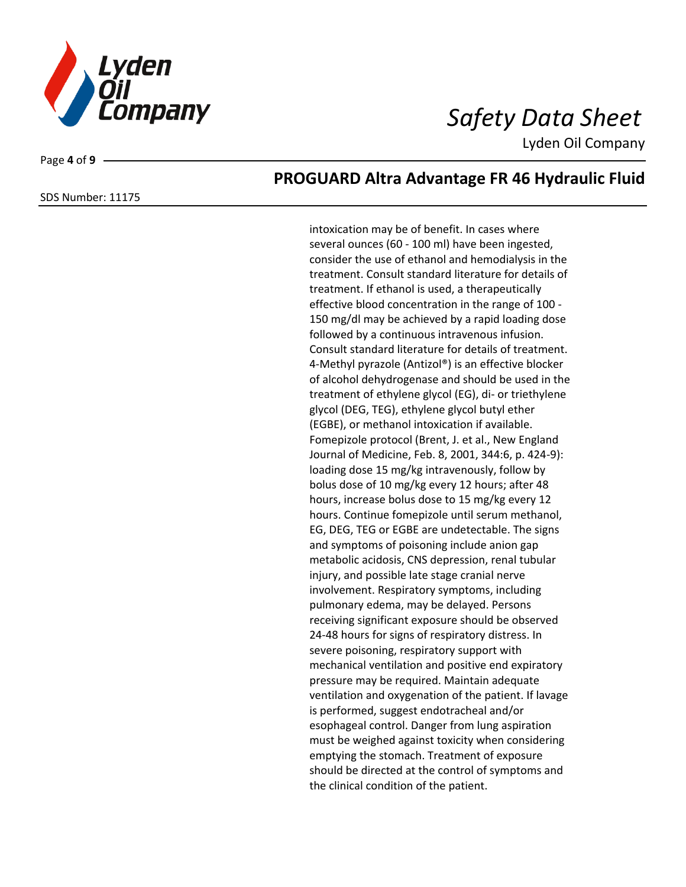

Page **4** of **9**

SDS Number: 11175

## **PROGUARD Altra Advantage FR 46 Hydraulic Fluid**

intoxication may be of benefit. In cases where several ounces (60 - 100 ml) have been ingested, consider the use of ethanol and hemodialysis in the treatment. Consult standard literature for details of treatment. If ethanol is used, a therapeutically effective blood concentration in the range of 100 - 150 mg/dl may be achieved by a rapid loading dose followed by a continuous intravenous infusion. Consult standard literature for details of treatment. 4-Methyl pyrazole (Antizol®) is an effective blocker of alcohol dehydrogenase and should be used in the treatment of ethylene glycol (EG), di- or triethylene glycol (DEG, TEG), ethylene glycol butyl ether (EGBE), or methanol intoxication if available. Fomepizole protocol (Brent, J. et al., New England Journal of Medicine, Feb. 8, 2001, 344:6, p. 424-9): loading dose 15 mg/kg intravenously, follow by bolus dose of 10 mg/kg every 12 hours; after 48 hours, increase bolus dose to 15 mg/kg every 12 hours. Continue fomepizole until serum methanol, EG, DEG, TEG or EGBE are undetectable. The signs and symptoms of poisoning include anion gap metabolic acidosis, CNS depression, renal tubular injury, and possible late stage cranial nerve involvement. Respiratory symptoms, including pulmonary edema, may be delayed. Persons receiving significant exposure should be observed 24-48 hours for signs of respiratory distress. In severe poisoning, respiratory support with mechanical ventilation and positive end expiratory pressure may be required. Maintain adequate ventilation and oxygenation of the patient. If lavage is performed, suggest endotracheal and/or esophageal control. Danger from lung aspiration must be weighed against toxicity when considering emptying the stomach. Treatment of exposure should be directed at the control of symptoms and the clinical condition of the patient.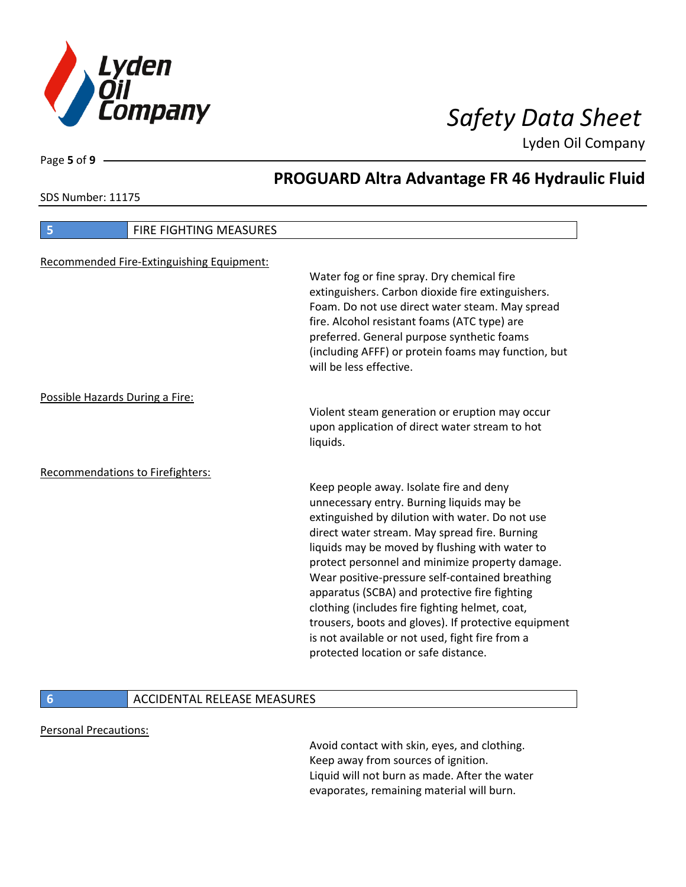

SDS Number: 11175

Page **5** of **9**

# **PROGUARD Altra Advantage FR 46 Hydraulic Fluid**

| 5<br><b>FIRE FIGHTING MEASURES</b>        |                                                                                                                                                                                                                                                                                                                                                                                                                                                                                                                                                                                                        |
|-------------------------------------------|--------------------------------------------------------------------------------------------------------------------------------------------------------------------------------------------------------------------------------------------------------------------------------------------------------------------------------------------------------------------------------------------------------------------------------------------------------------------------------------------------------------------------------------------------------------------------------------------------------|
| Recommended Fire-Extinguishing Equipment: | Water fog or fine spray. Dry chemical fire<br>extinguishers. Carbon dioxide fire extinguishers.<br>Foam. Do not use direct water steam. May spread<br>fire. Alcohol resistant foams (ATC type) are<br>preferred. General purpose synthetic foams<br>(including AFFF) or protein foams may function, but<br>will be less effective.                                                                                                                                                                                                                                                                     |
| Possible Hazards During a Fire:           | Violent steam generation or eruption may occur<br>upon application of direct water stream to hot<br>liquids.                                                                                                                                                                                                                                                                                                                                                                                                                                                                                           |
| <b>Recommendations to Firefighters:</b>   | Keep people away. Isolate fire and deny<br>unnecessary entry. Burning liquids may be<br>extinguished by dilution with water. Do not use<br>direct water stream. May spread fire. Burning<br>liquids may be moved by flushing with water to<br>protect personnel and minimize property damage.<br>Wear positive-pressure self-contained breathing<br>apparatus (SCBA) and protective fire fighting<br>clothing (includes fire fighting helmet, coat,<br>trousers, boots and gloves). If protective equipment<br>is not available or not used, fight fire from a<br>protected location or safe distance. |

### **6 ACCIDENTAL RELEASE MEASURES**

#### Personal Precautions:

Avoid contact with skin, eyes, and clothing. Keep away from sources of ignition. Liquid will not burn as made. After the water evaporates, remaining material will burn.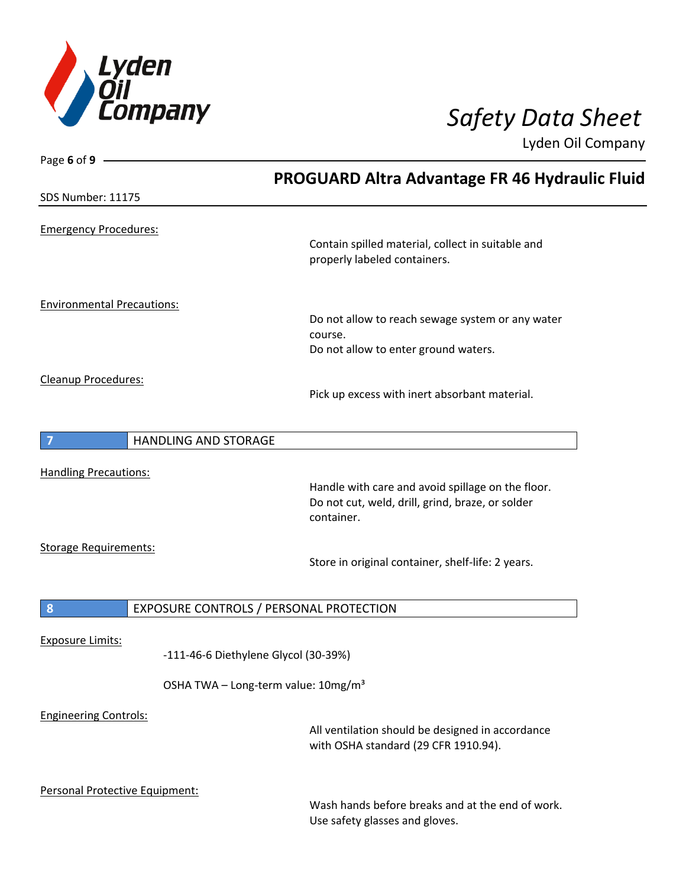

| Page 6 of 9 -                                   |                                                       |
|-------------------------------------------------|-------------------------------------------------------|
|                                                 | <b>PROGUARD Altra Advantage FR 46 Hydraulic Fluid</b> |
| SDS Number: 11175                               |                                                       |
|                                                 |                                                       |
| <b>Emergency Procedures:</b>                    |                                                       |
|                                                 | Contain spilled material, collect in suitable and     |
|                                                 | properly labeled containers.                          |
|                                                 |                                                       |
| <b>Environmental Precautions:</b>               |                                                       |
|                                                 | Do not allow to reach sewage system or any water      |
|                                                 | course.                                               |
|                                                 | Do not allow to enter ground waters.                  |
| <b>Cleanup Procedures:</b>                      |                                                       |
|                                                 | Pick up excess with inert absorbant material.         |
|                                                 |                                                       |
| <b>HANDLING AND STORAGE</b>                     |                                                       |
|                                                 |                                                       |
| <b>Handling Precautions:</b>                    |                                                       |
|                                                 | Handle with care and avoid spillage on the floor.     |
|                                                 | Do not cut, weld, drill, grind, braze, or solder      |
|                                                 | container.                                            |
| <b>Storage Requirements:</b>                    |                                                       |
|                                                 | Store in original container, shelf-life: 2 years.     |
|                                                 |                                                       |
|                                                 |                                                       |
| EXPOSURE CONTROLS / PERSONAL PROTECTION<br>8    |                                                       |
| <b>Exposure Limits:</b>                         |                                                       |
| -111-46-6 Diethylene Glycol (30-39%)            |                                                       |
|                                                 |                                                       |
| OSHA TWA - Long-term value: 10mg/m <sup>3</sup> |                                                       |
| <b>Engineering Controls:</b>                    |                                                       |
|                                                 | All ventilation should be designed in accordance      |
|                                                 | with OSHA standard (29 CFR 1910.94).                  |
|                                                 |                                                       |
| Personal Protective Equipment:                  |                                                       |
|                                                 | Wash hands before breaks and at the end of work.      |
|                                                 | Use safety glasses and gloves.                        |
|                                                 |                                                       |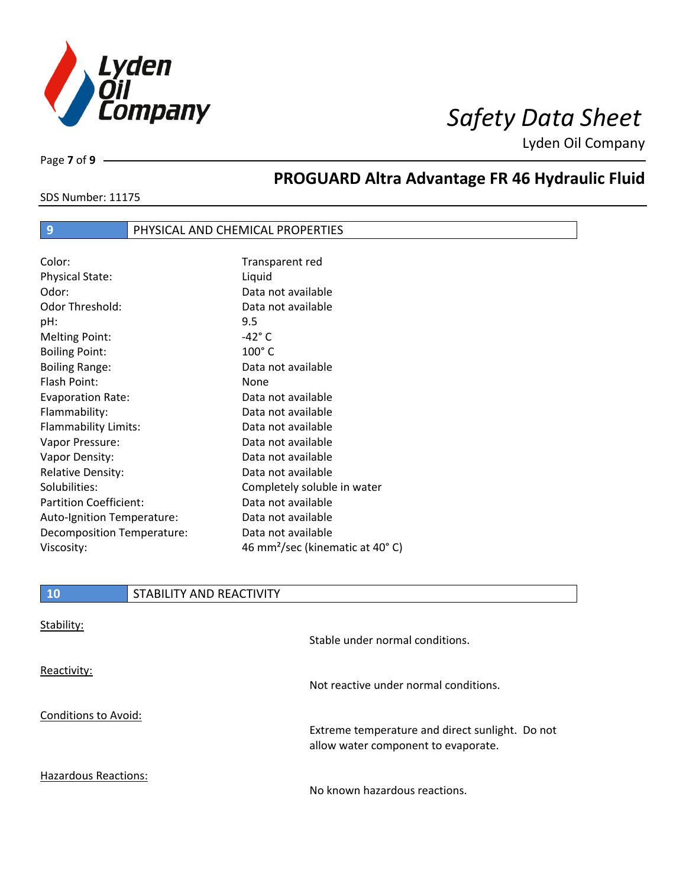

SDS Number: 11175

Page **7** of **9**

# **PROGUARD Altra Advantage FR 46 Hydraulic Fluid**

### **9** PHYSICAL AND CHEMICAL PROPERTIES

| Color:                        | Transparent red                             |
|-------------------------------|---------------------------------------------|
| <b>Physical State:</b>        | Liquid                                      |
| Odor:                         | Data not available                          |
| Odor Threshold:               | Data not available                          |
| pH:                           | 9.5                                         |
| <b>Melting Point:</b>         | $-42^\circ$ C                               |
| <b>Boiling Point:</b>         | $100^\circ$ C                               |
| <b>Boiling Range:</b>         | Data not available                          |
| Flash Point:                  | None                                        |
| <b>Evaporation Rate:</b>      | Data not available                          |
| Flammability:                 | Data not available                          |
| Flammability Limits:          | Data not available                          |
| Vapor Pressure:               | Data not available                          |
| Vapor Density:                | Data not available                          |
| <b>Relative Density:</b>      | Data not available                          |
| Solubilities:                 | Completely soluble in water                 |
| <b>Partition Coefficient:</b> | Data not available                          |
| Auto-Ignition Temperature:    | Data not available                          |
| Decomposition Temperature:    | Data not available                          |
| Viscosity:                    | 46 mm <sup>2</sup> /sec (kinematic at 40°C) |

### **10** STABILITY AND REACTIVITY

| Stability:                  | Stable under normal conditions.                                                        |
|-----------------------------|----------------------------------------------------------------------------------------|
| Reactivity:                 | Not reactive under normal conditions.                                                  |
| Conditions to Avoid:        | Extreme temperature and direct sunlight. Do not<br>allow water component to evaporate. |
| <b>Hazardous Reactions:</b> | No known hazardous reactions.                                                          |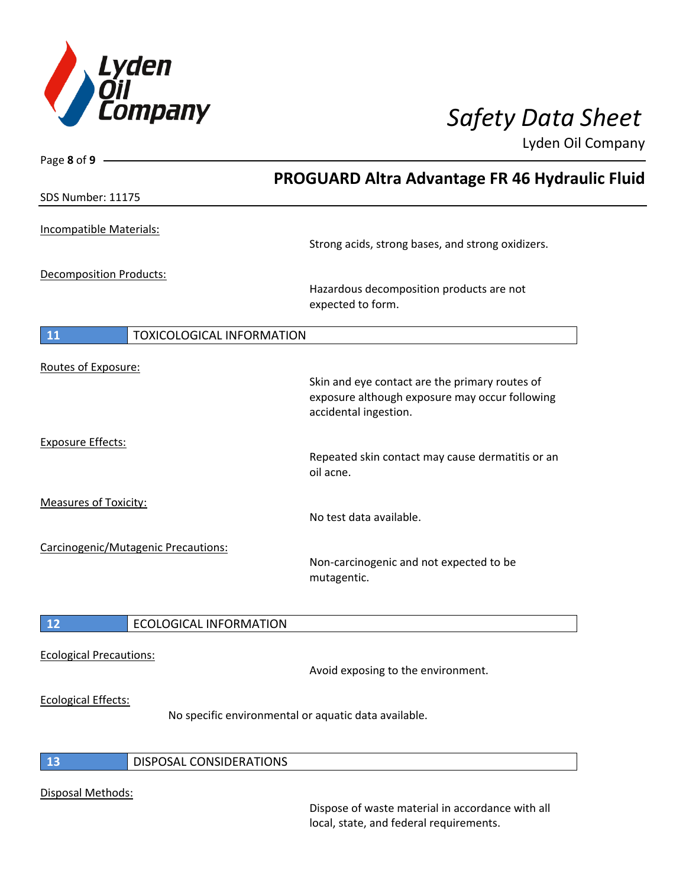

| Page 8 of 9 -                       |                                                                                                                           |
|-------------------------------------|---------------------------------------------------------------------------------------------------------------------------|
|                                     | <b>PROGUARD Altra Advantage FR 46 Hydraulic Fluid</b>                                                                     |
| SDS Number: 11175                   |                                                                                                                           |
| <b>Incompatible Materials:</b>      |                                                                                                                           |
|                                     | Strong acids, strong bases, and strong oxidizers.                                                                         |
| <b>Decomposition Products:</b>      |                                                                                                                           |
|                                     | Hazardous decomposition products are not<br>expected to form.                                                             |
| <b>11</b>                           | TOXICOLOGICAL INFORMATION                                                                                                 |
| Routes of Exposure:                 |                                                                                                                           |
|                                     | Skin and eye contact are the primary routes of<br>exposure although exposure may occur following<br>accidental ingestion. |
| <b>Exposure Effects:</b>            |                                                                                                                           |
|                                     | Repeated skin contact may cause dermatitis or an<br>oil acne.                                                             |
| <b>Measures of Toxicity:</b>        |                                                                                                                           |
|                                     | No test data available.                                                                                                   |
| Carcinogenic/Mutagenic Precautions: |                                                                                                                           |
|                                     | Non-carcinogenic and not expected to be<br>mutagentic.                                                                    |
| 12                                  | <b>ECOLOGICAL INFORMATION</b>                                                                                             |
| <b>Ecological Precautions:</b>      |                                                                                                                           |
|                                     | Avoid exposing to the environment.                                                                                        |
| <b>Ecological Effects:</b>          |                                                                                                                           |
|                                     | No specific environmental or aquatic data available.                                                                      |
| 13                                  | <b>DISPOSAL CONSIDERATIONS</b>                                                                                            |
| Disposal Methods:                   |                                                                                                                           |

Dispose of waste material in accordance with all local, state, and federal requirements.